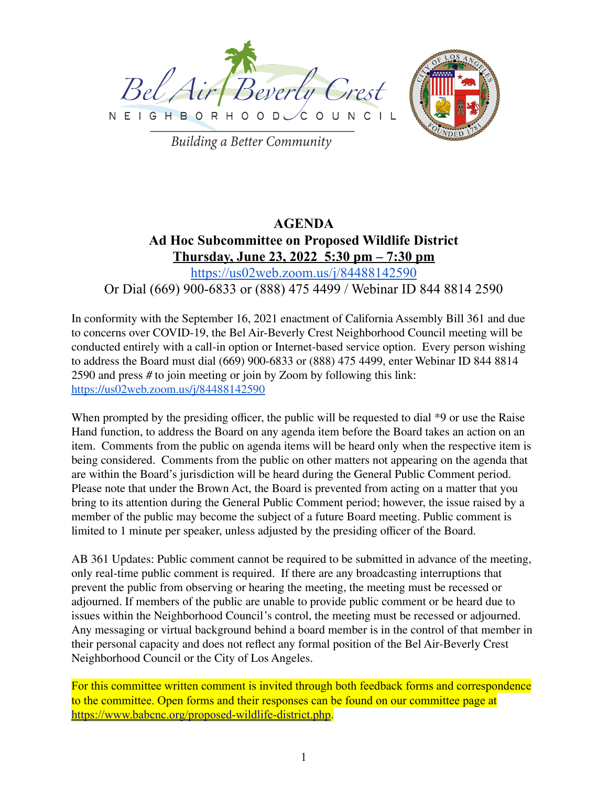



**Building a Better Community** 

# **AGENDA Ad Hoc Subcommittee on Proposed Wildlife District Thursday, June 23, 2022 5:30 pm – 7:30 pm** <https://us02web.zoom.us/j/84488142590>

## Or Dial (669) 900-6833 or (888) 475 4499 / Webinar ID 844 8814 2590

In conformity with the September 16, 2021 enactment of California Assembly Bill 361 and due to concerns over COVID-19, the Bel Air-Beverly Crest Neighborhood Council meeting will be conducted entirely with a call-in option or Internet-based service option. Every person wishing to address the Board must dial (669) 900-6833 or (888) 475 4499, enter Webinar ID 844 8814 2590 and press # to join meeting or join by Zoom by following this link: <https://us02web.zoom.us/j/84488142590>

When prompted by the presiding officer, the public will be requested to dial  $*9$  or use the Raise Hand function, to address the Board on any agenda item before the Board takes an action on an item. Comments from the public on agenda items will be heard only when the respective item is being considered. Comments from the public on other matters not appearing on the agenda that are within the Board's jurisdiction will be heard during the General Public Comment period. Please note that under the Brown Act, the Board is prevented from acting on a matter that you bring to its attention during the General Public Comment period; however, the issue raised by a member of the public may become the subject of a future Board meeting. Public comment is limited to 1 minute per speaker, unless adjusted by the presiding officer of the Board.

AB 361 Updates: Public comment cannot be required to be submitted in advance of the meeting, only real-time public comment is required. If there are any broadcasting interruptions that prevent the public from observing or hearing the meeting, the meeting must be recessed or adjourned. If members of the public are unable to provide public comment or be heard due to issues within the Neighborhood Council's control, the meeting must be recessed or adjourned. Any messaging or virtual background behind a board member is in the control of that member in their personal capacity and does not reflect any formal position of the Bel Air-Beverly Crest Neighborhood Council or the City of Los Angeles.

For this committee written comment is invited through both feedback forms and correspondence to the committee. Open forms and their responses can be found on our committee page at <https://www.babcnc.org/proposed-wildlife-district.php>.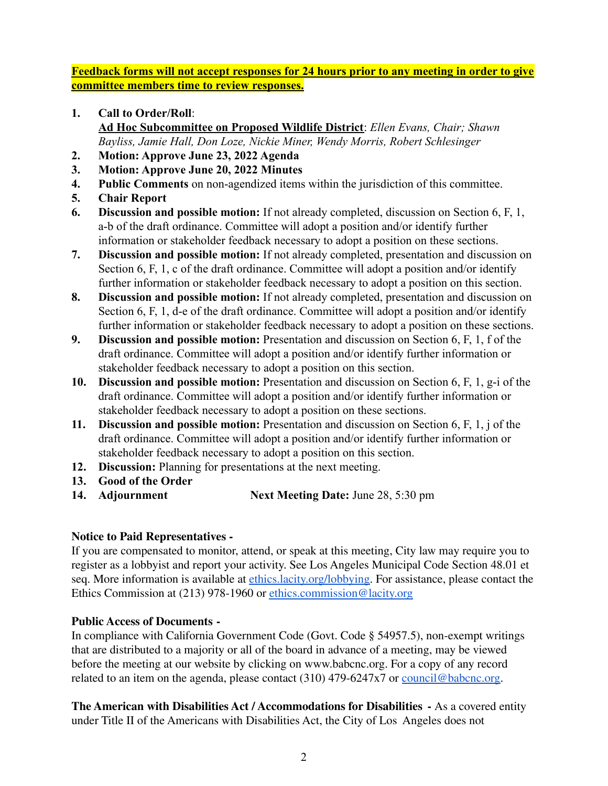**Feedback forms will not accept responses for 24 hours prior to any meeting in order to give committee members time to review responses.**

- **1. Call to Order/Roll**: **Ad Hoc Subcommittee on Proposed Wildlife District**: *Ellen Evans, Chair; Shawn Bayliss, Jamie Hall, Don Loze, Nickie Miner, Wendy Morris, Robert Schlesinger*
- **2. Motion: Approve June 23, 2022 Agenda**
- **3. Motion: Approve June 20, 2022 Minutes**
- **4. Public Comments** on non-agendized items within the jurisdiction of this committee.
- **5. Chair Report**
- **6. Discussion and possible motion:** If not already completed, discussion on Section 6, F, 1, a-b of the draft ordinance. Committee will adopt a position and/or identify further information or stakeholder feedback necessary to adopt a position on these sections.
- **7. Discussion and possible motion:** If not already completed, presentation and discussion on Section 6, F, 1, c of the draft ordinance. Committee will adopt a position and/or identify further information or stakeholder feedback necessary to adopt a position on this section.
- **8. Discussion and possible motion:** If not already completed, presentation and discussion on Section 6, F, 1, d-e of the draft ordinance. Committee will adopt a position and/or identify further information or stakeholder feedback necessary to adopt a position on these sections.
- **9. Discussion and possible motion:** Presentation and discussion on Section 6, F, 1, f of the draft ordinance. Committee will adopt a position and/or identify further information or stakeholder feedback necessary to adopt a position on this section.
- **10. Discussion and possible motion:** Presentation and discussion on Section 6, F, 1, g-i of the draft ordinance. Committee will adopt a position and/or identify further information or stakeholder feedback necessary to adopt a position on these sections.
- **11. Discussion and possible motion:** Presentation and discussion on Section 6, F, 1, j of the draft ordinance. Committee will adopt a position and/or identify further information or stakeholder feedback necessary to adopt a position on this section.
- **12. Discussion:** Planning for presentations at the next meeting.
- **13. Good of the Order**
- **14. Adjournment Next Meeting Date:** June 28, 5:30 pm

## **Notice to Paid Representatives -**

If you are compensated to monitor, attend, or speak at this meeting, City law may require you to register as a lobbyist and report your activity. See Los Angeles Municipal Code Section 48.01 et seq. More information is available at [ethics.lacity.org/lobbying.](http://ethics.lacity.org/lobbying) For assistance, please contact the Ethics Commission at (213) 978-1960 or [ethics.commission@lacity.org](mailto:ethics.commission@lacity.org)

### **Public Access of Documents -**

In compliance with California Government Code (Govt. Code § 54957.5), non-exempt writings that are distributed to a majority or all of the board in advance of a meeting, may be viewed before the meeting at our website by clicking on www.babcnc.org. For a copy of any record related to an item on the agenda, please contact (310) 479-6247x7 or [council@babcnc.org.](mailto:council@babcnc.org)

**The American with Disabilities Act / Accommodations for Disabilities -** As a covered entity under Title II of the Americans with Disabilities Act, the City of Los Angeles does not